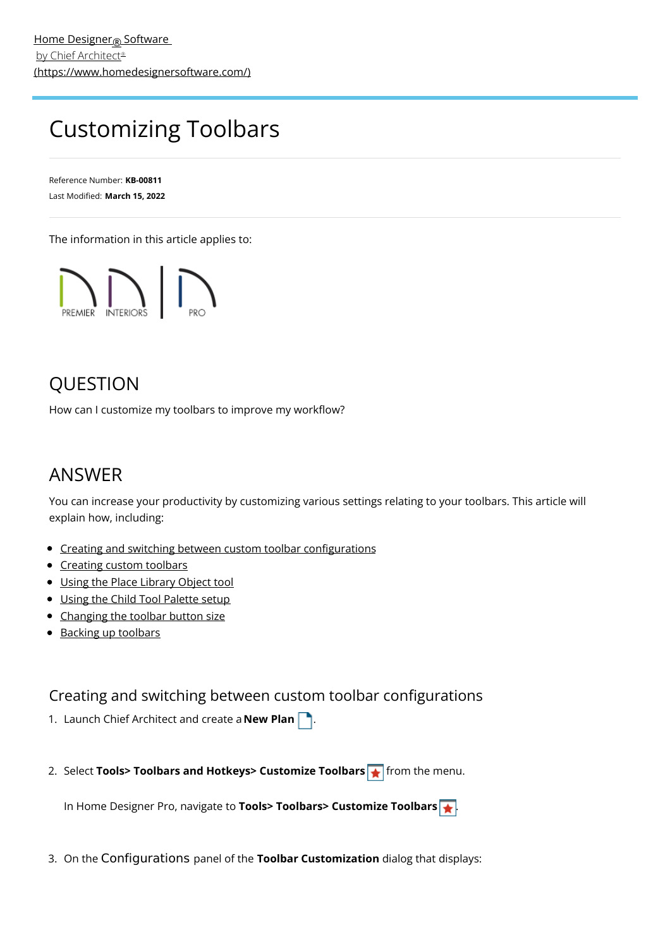# <span id="page-0-0"></span>Customizing Toolbars

Reference Number: **KB-00811** Last Modified: **March 15, 2022**

The information in this article applies to:



# QUESTION

How can I customize my toolbars to improve my workflow?

## ANSWER

You can increase your productivity by customizing various settings relating to your toolbars. This article will explain how, including:

- Creating and switching between custom toolbar [configurations](#page-0-0)
- [Creating](#page-0-0) custom toolbars
- Using the Place [Library](#page-0-0) Object tool
- Using the Child Tool [Palette](#page-0-0) setup
- [Changing](#page-0-0) the toolbar button size
- Backing up [toolbars](#page-0-0)

#### Creating and switching between custom toolbar configurations

- 1. Launch Chief Architect and create a **New Plan** .
- 2. Select **Tools> Toolbars and Hotkeys> Customize Toolbars** from the menu.

In Home Designer Pro, navigate to **Tools> Toolbars> Customize Toolbars** .

3. On the Configurations panel of the **Toolbar Customization** dialog that displays: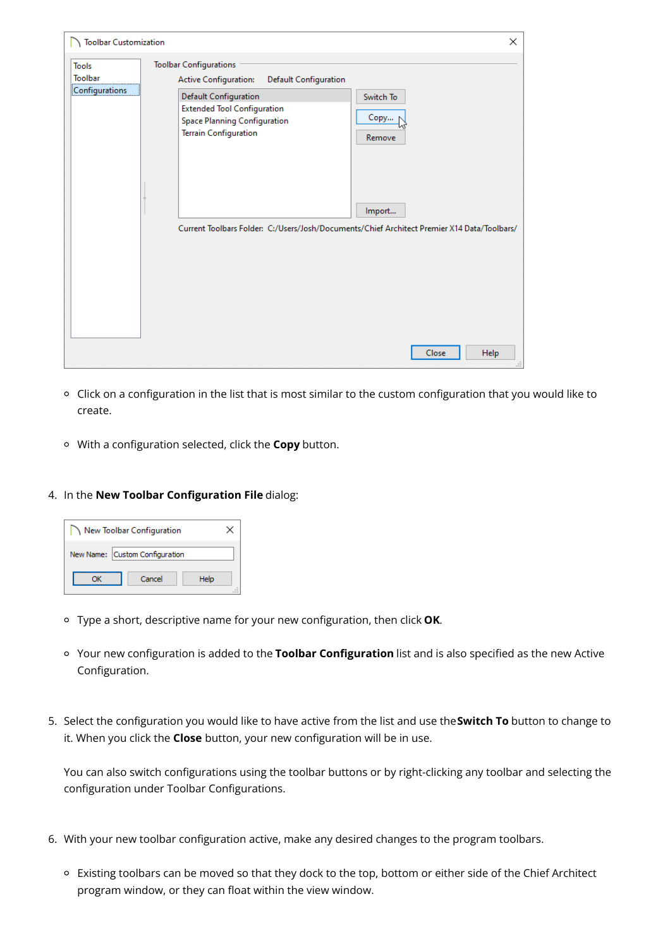| <b>Toolbar Customization</b>                     |                                                                                                                                                                                                                       | ×                           |
|--------------------------------------------------|-----------------------------------------------------------------------------------------------------------------------------------------------------------------------------------------------------------------------|-----------------------------|
| <b>Tools</b><br><b>Toolbar</b><br>Configurations | <b>Toolbar Configurations</b><br>Active Configuration:<br><b>Default Configuration</b><br>Default Configuration<br><b>Extended Tool Configuration</b><br>Space Planning Configuration<br><b>Terrain Configuration</b> | Switch To<br>Copy<br>Remove |
|                                                  | Current Toolbars Folder: C:/Users/Josh/Documents/Chief Architect Premier X14 Data/Toolbars/                                                                                                                           | Import                      |
|                                                  |                                                                                                                                                                                                                       | Help<br>Close<br>пÎ.        |

- Click on a configuration in the list that is most similar to the custom configuration that you would like to create.
- With a configuration selected, click the **Copy** button.

#### 4. In the **New Toolbar Configuration File** dialog:

| New Toolbar Configuration      |  |
|--------------------------------|--|
| New Name: Custom Configuration |  |
| Cancel<br>Help                 |  |

- Type a short, descriptive name for your new configuration, then click **OK**.
- Your new configuration is added to the **Toolbar Configuration** list and is also specified as the new Active Configuration.
- 5. Select the configuration you would like to have active from the list and use the**Switch To** button to change to it. When you click the **Close** button, your new configuration will be in use.

You can also switch configurations using the toolbar buttons or by right-clicking any toolbar and selecting the configuration under Toolbar Configurations.

- 6. With your new toolbar configuration active, make any desired changes to the program toolbars.
	- Existing toolbars can be moved so that they dock to the top, bottom or either side of the Chief Architect program window, or they can float within the view window.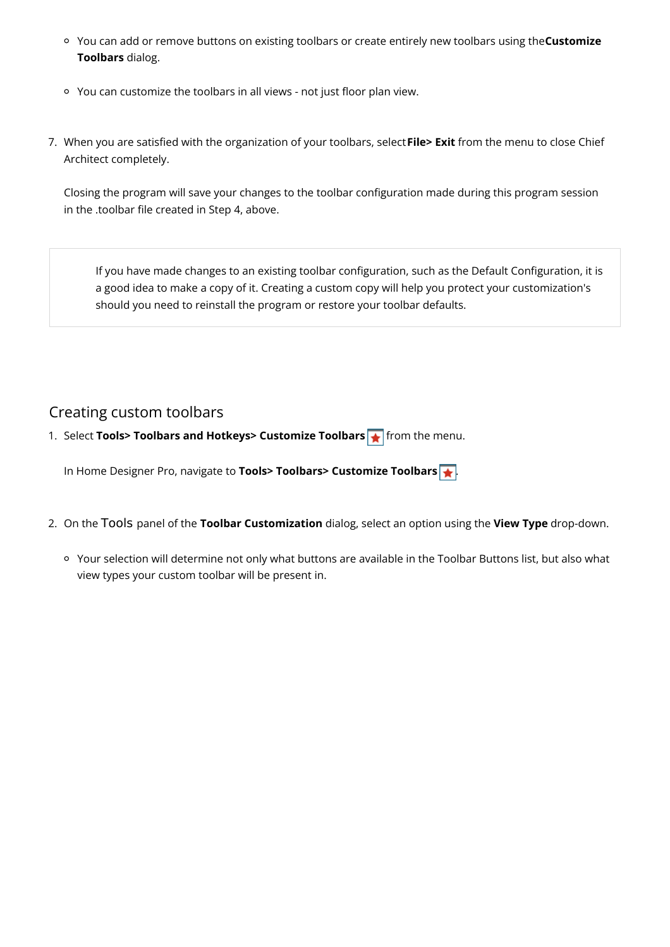- You can add or remove buttons on existing toolbars or create entirely new toolbars using the**Customize Toolbars** dialog.
- You can customize the toolbars in all views not just floor plan view.
- 7. When you are satisfied with the organization of your toolbars, select**File> Exit** from the menu to close Chief Architect completely.

Closing the program will save your changes to the toolbar configuration made during this program session in the .toolbar file created in Step 4, above.

If you have made changes to an existing toolbar configuration, such as the Default Configuration, it is a good idea to make a copy of it. Creating a custom copy will help you protect your customization's should you need to reinstall the program or restore your toolbar defaults.

### Creating custom toolbars

1. Select **Tools> Toolbars and Hotkeys> Customize Toolbars** from the menu.

In Home Designer Pro, navigate to **Tools> Toolbars> Customize Toolbars** .

- 2. On the Tools panel of the **Toolbar Customization** dialog, select an option using the **View Type** drop-down.
	- Your selection will determine not only what buttons are available in the Toolbar Buttons list, but also what view types your custom toolbar will be present in.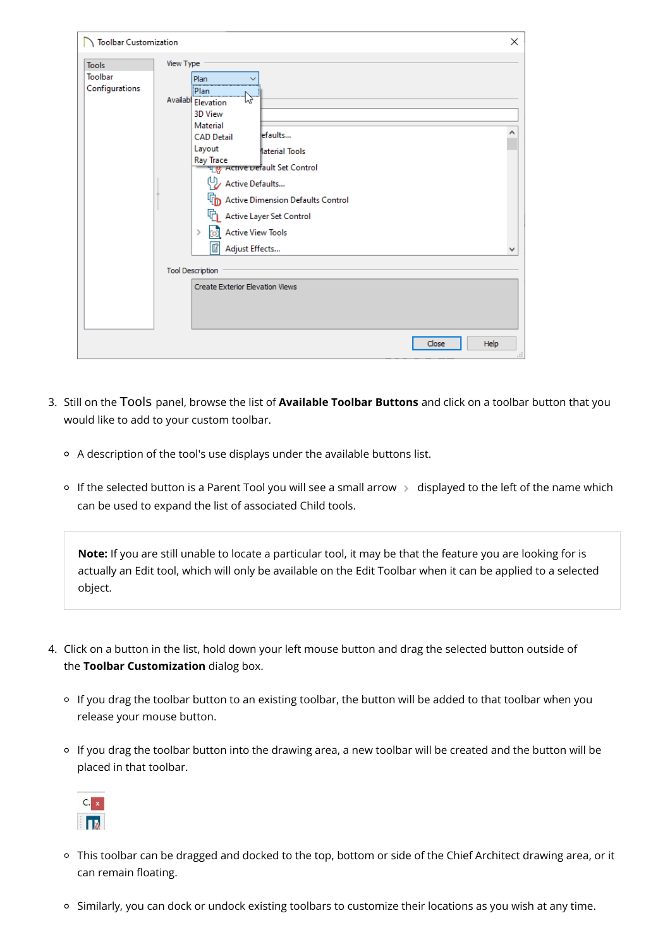| <b>Toolbar Customization</b>                           |                                                                                                                                                                                                                                                                                                                                                                                                                                                       | $\times$    |
|--------------------------------------------------------|-------------------------------------------------------------------------------------------------------------------------------------------------------------------------------------------------------------------------------------------------------------------------------------------------------------------------------------------------------------------------------------------------------------------------------------------------------|-------------|
| View Type<br><b>Tools</b><br>Toolbar<br>Configurations | Plan<br>-----------<br>Plan<br>ľΣ<br><b>Availabl</b> Elevation<br><b>3D View</b><br>Material<br>efaults<br><b>CAD Detail</b><br>Layout<br><b>Material Tools</b><br>Ray Trace<br>မျှော Active Default Set Control<br>Active Defaults<br>Active Dimension Defaults Control<br>Active Layer Set Control<br><b>Active View Tools</b><br>$\rightarrow$<br>Foll<br>Ũ<br>Adjust Effects<br><b>Tool Description</b><br><b>Create Exterior Elevation Views</b> | ۸<br>v      |
|                                                        | Close                                                                                                                                                                                                                                                                                                                                                                                                                                                 | Help<br>al. |

- 3. Still on the Tools panel, browse the list of **Available Toolbar Buttons** and click on a toolbar button that you would like to add to your custom toolbar.
	- A description of the tool's use displays under the available buttons list.
	- o If the selected button is a Parent Tool you will see a small arrow > displayed to the left of the name which can be used to expand the list of associated Child tools.

**Note:** If you are still unable to locate a particular tool, it may be that the feature you are looking for is actually an Edit tool, which will only be available on the Edit Toolbar when it can be applied to a selected object.

- 4. Click on a button in the list, hold down your left mouse button and drag the selected button outside of the **Toolbar Customization** dialog box.
	- <sup>o</sup> If you drag the toolbar button to an existing toolbar, the button will be added to that toolbar when you release your mouse button.
	- o If you drag the toolbar button into the drawing area, a new toolbar will be created and the button will be placed in that toolbar.



- This toolbar can be dragged and docked to the top, bottom or side of the Chief Architect drawing area, or it can remain floating.
- Similarly, you can dock or undock existing toolbars to customize their locations as you wish at any time.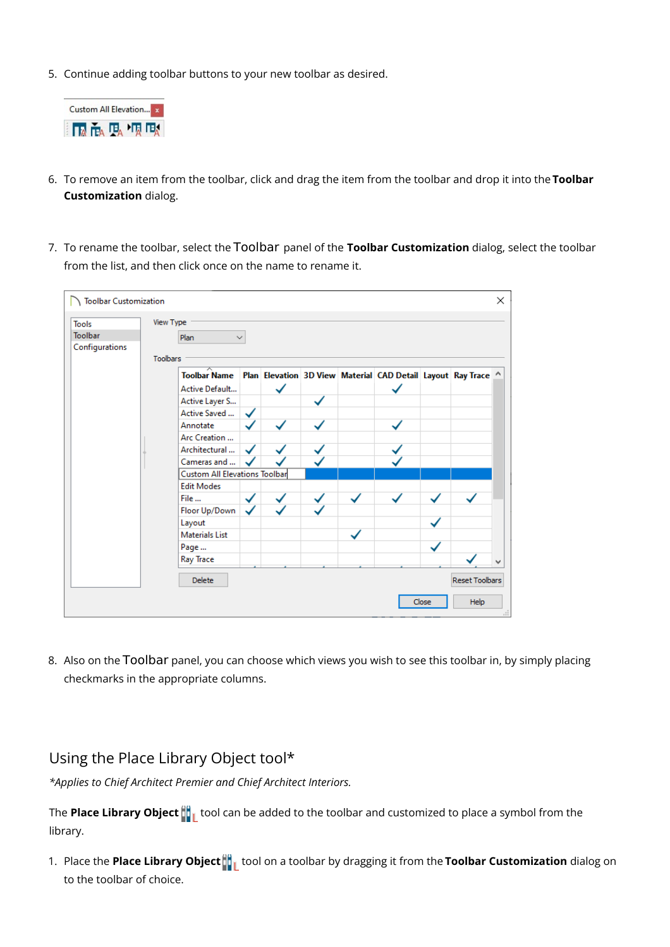5. Continue adding toolbar buttons to your new toolbar as desired.



- 6. To remove an item from the toolbar, click and drag the item from the toolbar and drop it into the **Toolbar Customization** dialog.
- 7. To rename the toolbar, select the Toolbar panel of the **Toolbar Customization** dialog, select the toolbar from the list, and then click once on the name to rename it.



8. Also on the Toolbar panel, you can choose which views you wish to see this toolbar in, by simply placing checkmarks in the appropriate columns.

#### Using the Place Library Object tool\*

*\*Applies to Chief Architect Premier and Chief Architect Interiors.*

The **Place Library Object**  $\frac{d}{d}$  tool can be added to the toolbar and customized to place a symbol from the library.

1. Place the **Place Library Object the tradigional toolbar by dragging it from the <b>Toolbar Customization** dialog on to the toolbar of choice.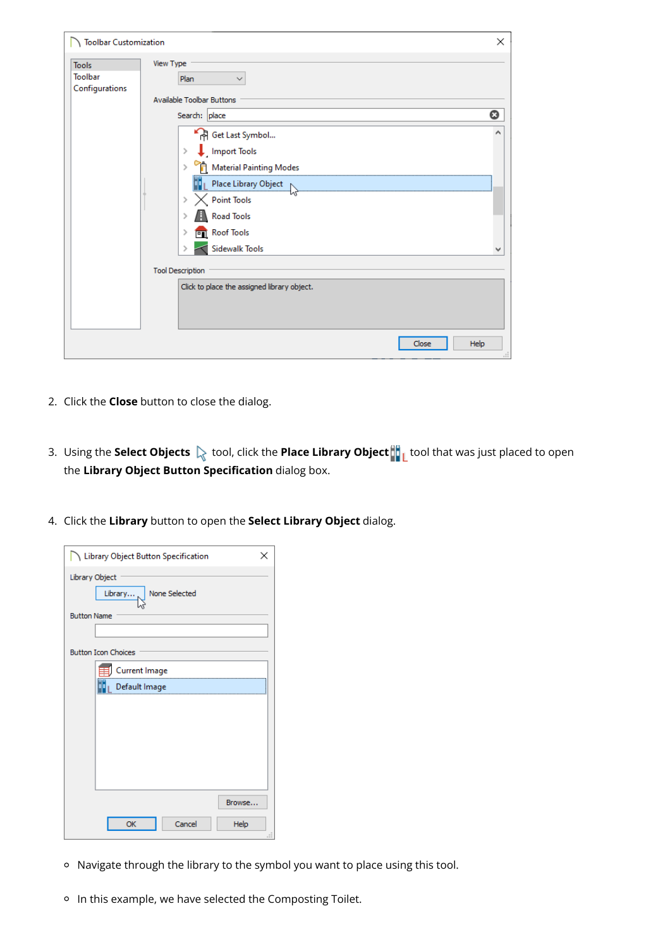| <b>Toolbar Customization</b>                     |                                                                                                                                                                                                                                                      | $\times$ |
|--------------------------------------------------|------------------------------------------------------------------------------------------------------------------------------------------------------------------------------------------------------------------------------------------------------|----------|
| <b>Tools</b><br><b>Toolbar</b><br>Configurations | <b>View Type</b><br>Plan<br>$\checkmark$<br><b>Available Toolbar Buttons</b>                                                                                                                                                                         |          |
|                                                  | Search: place<br><sup>4</sup> Get Last Symbol<br>Import Tools<br>$\,$<br>> Material Painting Modes<br>Point Tools<br>Road Tools<br><b>Pul</b> Roof Tools<br>Sidewalk Tools<br><b>Tool Description</b><br>Click to place the assigned library object. | Q        |
|                                                  | Help<br>Close                                                                                                                                                                                                                                        | a.       |

- 2. Click the **Close** button to close the dialog.
- 3. Using the **Select Objects**  $\&$  tool, click the **Place Library Object**  $\| \cdot \|$  tool that was just placed to open the **Library Object Button Specification** dialog box.
- 4. Click the **Library** button to open the **Select Library Object** dialog.

| Library Object Button Specification        |
|--------------------------------------------|
| Library Object<br>None Selected<br>Library |
| <b>Button Name</b>                         |
|                                            |
| <b>Button Icon Choices</b>                 |
| Current Image                              |
| Default Image                              |
|                                            |
|                                            |
|                                            |
|                                            |
|                                            |
|                                            |
| Browse                                     |
| Cancel<br>OK<br>Help                       |

- Navigate through the library to the symbol you want to place using this tool.
- o In this example, we have selected the Composting Toilet.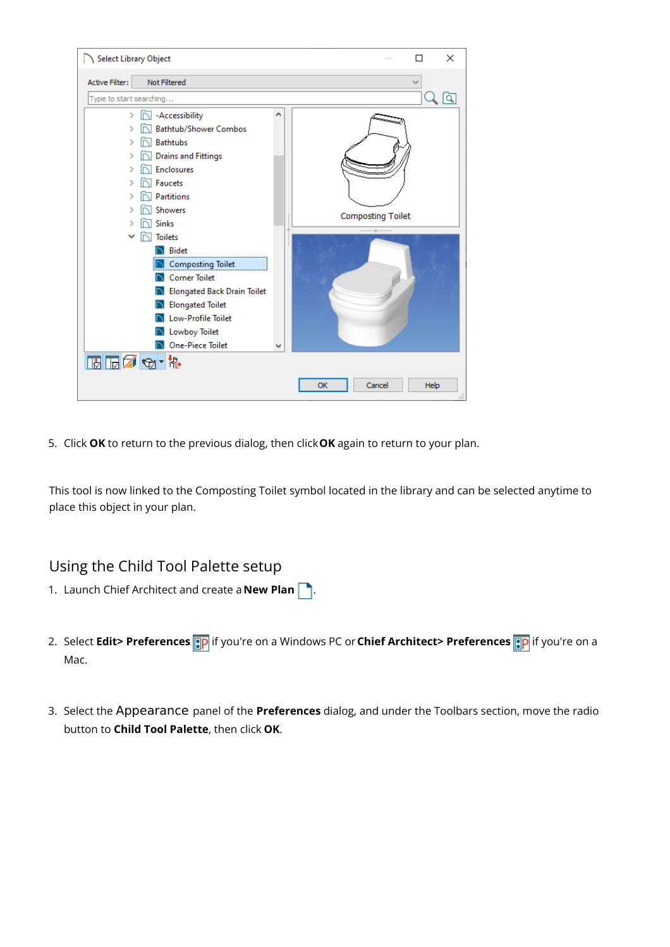

5. Click **OK** to return to the previous dialog, then click**OK** again to return to your plan.

This tool is now linked to the Composting Toilet symbol located in the library and can be selected anytime to place this object in your plan.

#### Using the Child Tool Palette setup

- 1. Launch Chief Architect and create a **New Plan** .
- 2. Select **Edit> Preferences ip** if you're on a Windows PC or Chief Architect> Preferences **ip** if you're on a Mac.
- 3. Select the Appearance panel of the **Preferences** dialog, and under the Toolbars section, move the radio button to **Child Tool Palette**, then click **OK**.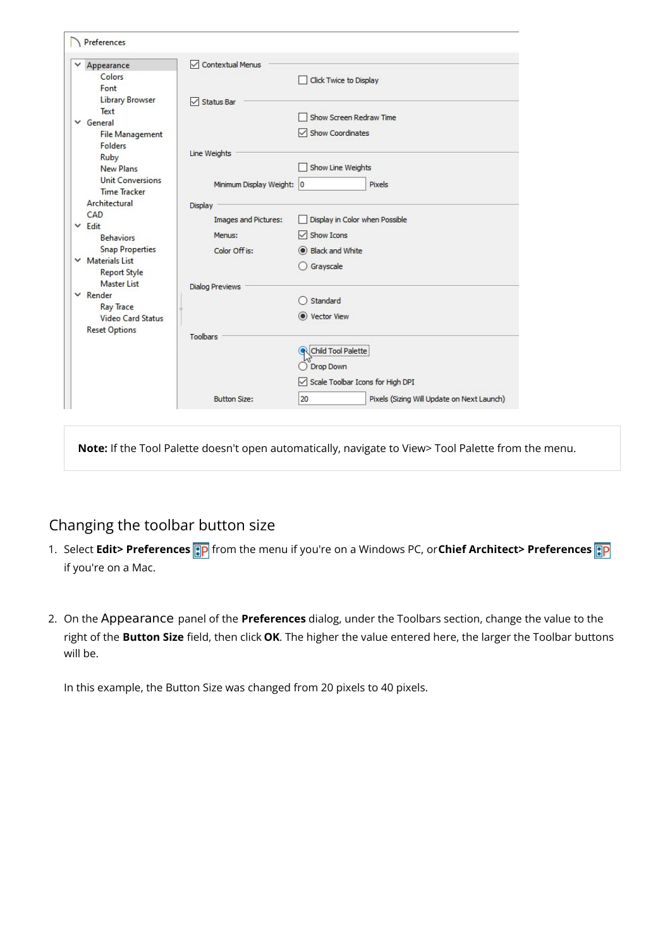|   | Appearance                                     | Contextual Menus                |                                                  |
|---|------------------------------------------------|---------------------------------|--------------------------------------------------|
|   | Colors                                         |                                 | Click Twice to Display                           |
|   | Font                                           |                                 |                                                  |
|   | <b>Library Browser</b>                         | $\sqrt{\phantom{a}}$ Status Bar |                                                  |
|   | Text                                           |                                 | Show Screen Redraw Time                          |
|   | $\vee$ General                                 |                                 | Show Coordinates                                 |
|   | <b>File Management</b><br><b>Folders</b>       |                                 |                                                  |
|   | Ruby                                           | Line Weights                    |                                                  |
|   | <b>New Plans</b>                               |                                 | Show Line Weights                                |
|   | <b>Unit Conversions</b><br><b>Time Tracker</b> | Minimum Display Weight: 0       | Pixels                                           |
|   | Architectural                                  |                                 |                                                  |
|   | CAD                                            | Display                         |                                                  |
|   | $\times$ Edit                                  | Images and Pictures:            | Display in Color when Possible                   |
|   | <b>Behaviors</b>                               | Menus:                          | $\sqrt{\ }$ Show Icons                           |
|   | <b>Snap Properties</b>                         | Color Off is:                   | Black and White                                  |
| v | <b>Materials List</b><br><b>Report Style</b>   |                                 | Grayscale                                        |
|   | <b>Master List</b>                             | <b>Dialog Previews</b>          |                                                  |
|   | $\times$ Render                                |                                 | Standard                                         |
|   | <b>Ray Trace</b><br><b>Video Card Status</b>   |                                 | C Vector View                                    |
|   | <b>Reset Options</b>                           | Toolbars                        |                                                  |
|   |                                                |                                 | <b>R</b> Child Tool Palette                      |
|   |                                                |                                 | Drop Down                                        |
|   |                                                |                                 | Scale Toolbar Icons for High DPI                 |
|   |                                                | <b>Button Size:</b>             | 20<br>Pixels (Sizing Will Update on Next Launch) |

**Note:** If the Tool Palette doesn't open automatically, navigate to View> Tool Palette from the menu.

### Changing the toolbar button size

- 1. Select **Edit> Preferences [:p** from the menu if you're on a Windows PC, or Chief Architect> Preferences **[:p** if you're on a Mac.
- 2. On the Appearance panel of the **Preferences** dialog, under the Toolbars section, change the value to the right of the **Button Size** field, then click **OK**. The higher the value entered here, the larger the Toolbar buttons will be.

In this example, the Button Size was changed from 20 pixels to 40 pixels.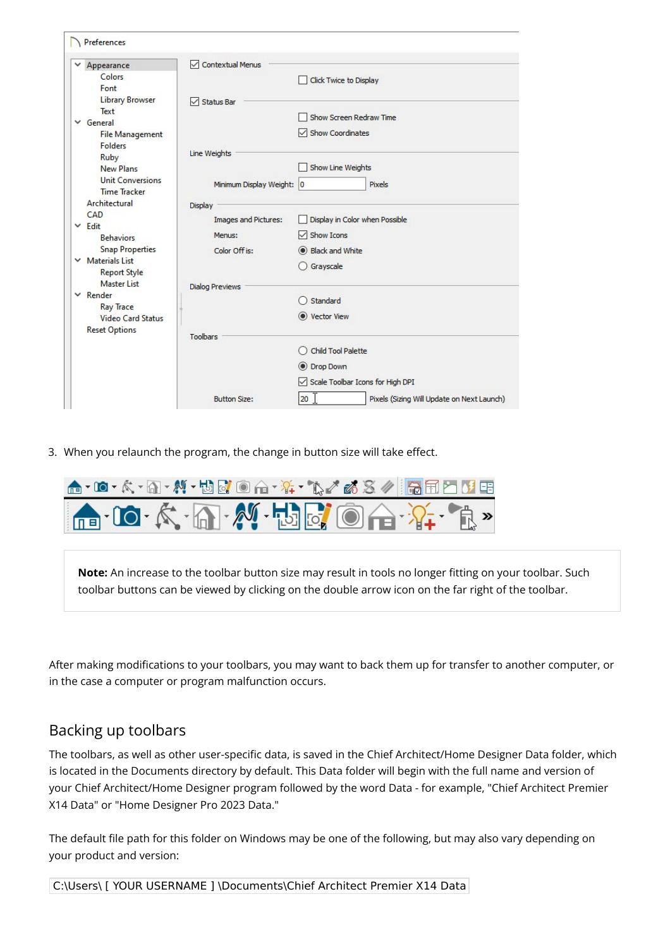| v | Appearance                            | <b>Contextual Menus</b><br>$\checkmark$ |                                  |
|---|---------------------------------------|-----------------------------------------|----------------------------------|
|   | Colors                                |                                         | Click Twice to Display           |
|   | Font                                  |                                         |                                  |
|   | <b>Library Browser</b>                | $\sqrt{\phantom{a}}$ Status Bar         |                                  |
|   | Text<br>$\vee$ General                |                                         | Show Screen Redraw Time          |
|   | <b>File Management</b>                |                                         | $\triangledown$ Show Coordinates |
|   | <b>Folders</b>                        |                                         |                                  |
|   | Ruby                                  | Line Weights                            |                                  |
|   | <b>New Plans</b>                      |                                         | Show Line Weights                |
|   | <b>Unit Conversions</b>               | Minimum Display Weight: 0               | Pixels                           |
|   | <b>Time Tracker</b>                   |                                         |                                  |
|   | Architectural                         | <b>Display</b>                          |                                  |
|   | CAD<br>$\times$ Fdit                  | <b>Images and Pictures:</b>             | Display in Color when Possible   |
|   | <b>Behaviors</b>                      | Menus:                                  | $\sqrt{\ }$ Show Icons           |
|   | <b>Snap Properties</b>                | Color Off is:                           | Black and White                  |
|   | $\times$ Materials List               |                                         | ○ Grayscale                      |
|   | <b>Report Style</b>                   |                                         |                                  |
|   | <b>Master List</b><br>$\times$ Render | <b>Dialog Previews</b>                  |                                  |
|   | <b>Ray Trace</b>                      |                                         | Standard                         |
|   | <b>Video Card Status</b>              |                                         | C Vector View                    |
|   | <b>Reset Options</b>                  |                                         |                                  |
|   |                                       | <b>Toolbars</b>                         |                                  |
|   |                                       |                                         | <b>Child Tool Palette</b>        |
|   |                                       |                                         | O Drop Down                      |
|   |                                       |                                         | Scale Toolbar Icons for High DPI |
|   |                                       |                                         |                                  |

3. When you relaunch the program, the change in button size will take effect.



**Note:** An increase to the toolbar button size may result in tools no longer fitting on your toolbar. Such toolbar buttons can be viewed by clicking on the double arrow icon on the far right of the toolbar.

After making modifications to your toolbars, you may want to back them up for transfer to another computer, or in the case a computer or program malfunction occurs.

#### Backing up toolbars

The toolbars, as well as other user-specific data, is saved in the Chief Architect/Home Designer Data folder, which is located in the Documents directory by default. This Data folder will begin with the full name and version of your Chief Architect/Home Designer program followed by the word Data - for example, "Chief Architect Premier X14 Data" or "Home Designer Pro 2023 Data."

The default file path for this folder on Windows may be one of the following, but may also vary depending on your product and version:

C:\Users\ [ YOUR USERNAME ] \Documents\Chief Architect Premier X14 Data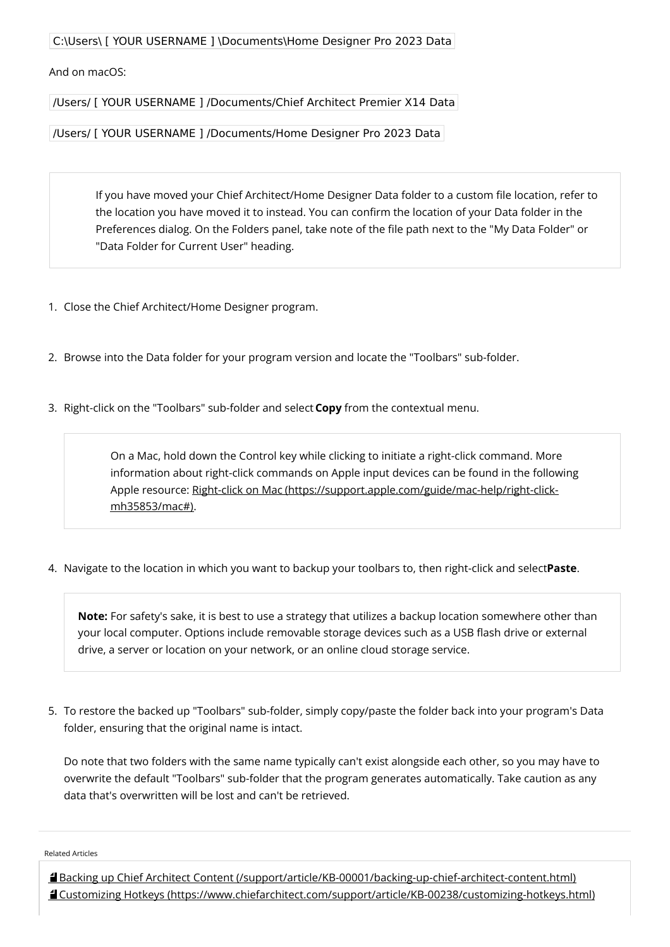C:\Users\ [ YOUR USERNAME ] \Documents\Home Designer Pro 2023 Data

And on macOS:

/Users/ [ YOUR USERNAME ] /Documents/Chief Architect Premier X14 Data

/Users/ [ YOUR USERNAME ] /Documents/Home Designer Pro 2023 Data

If you have moved your Chief Architect/Home Designer Data folder to a custom file location, refer to the location you have moved it to instead. You can confirm the location of your Data folder in the Preferences dialog. On the Folders panel, take note of the file path next to the "My Data Folder" or "Data Folder for Current User" heading.

- 1. Close the Chief Architect/Home Designer program.
- 2. Browse into the Data folder for your program version and locate the "Toolbars" sub-folder.
- 3. Right-click on the "Toolbars" sub-folder and select**Copy** from the contextual menu.

On a Mac, hold down the Control key while clicking to initiate a right-click command. More information about right-click commands on Apple input devices can be found in the following Apple resource: Right-click on Mac [\(https://support.apple.com/guide/mac-help/right-click](https://support.apple.com/guide/mac-help/right-click-mh35853/mac#)mh35853/mac#).

4. Navigate to the location in which you want to backup your toolbars to, then right-click and select**Paste**.

**Note:** For safety's sake, it is best to use a strategy that utilizes a backup location somewhere other than your local computer. Options include removable storage devices such as a USB flash drive or external drive, a server or location on your network, or an online cloud storage service.

5. To restore the backed up "Toolbars" sub-folder, simply copy/paste the folder back into your program's Data folder, ensuring that the original name is intact.

Do note that two folders with the same name typically can't exist alongside each other, so you may have to overwrite the default "Toolbars" sub-folder that the program generates automatically. Take caution as any data that's overwritten will be lost and can't be retrieved.

Related Articles

Backing up Chief Architect Content [\(/support/article/KB-00001/backing-up-chief-architect-content.html\)](file:///support/article/KB-00001/backing-up-chief-architect-content.html) Customizing Hotkeys [\(https://www.chiefarchitect.com/support/article/KB-00238/customizing-hotkeys.html\)](https://www.chiefarchitect.com/support/article/KB-00238/customizing-hotkeys.html)